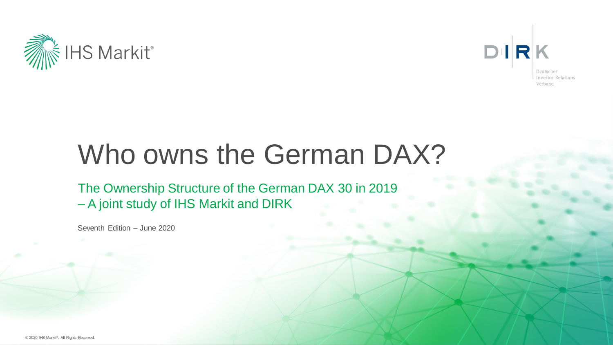



# Who owns the German DAX?

The Ownership Structure of the German DAX 30 in 2019 – A joint study of IHS Markit and DIRK

Seventh Edition – June 2020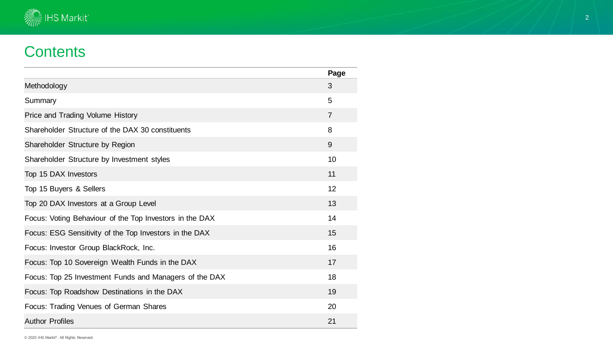

## **Contents**

|                                                         | Page           |
|---------------------------------------------------------|----------------|
| Methodology                                             | 3              |
| Summary                                                 | 5              |
| Price and Trading Volume History                        | $\overline{7}$ |
| Shareholder Structure of the DAX 30 constituents        | 8              |
| Shareholder Structure by Region                         | 9              |
| Shareholder Structure by Investment styles              | 10             |
| Top 15 DAX Investors                                    | 11             |
| Top 15 Buyers & Sellers                                 | 12             |
| Top 20 DAX Investors at a Group Level                   | 13             |
| Focus: Voting Behaviour of the Top Investors in the DAX | 14             |
| Focus: ESG Sensitivity of the Top Investors in the DAX  | 15             |
| Focus: Investor Group BlackRock, Inc.                   | 16             |
| Focus: Top 10 Sovereign Wealth Funds in the DAX         | 17             |
| Focus: Top 25 Investment Funds and Managers of the DAX  | 18             |
| Focus: Top Roadshow Destinations in the DAX             | 19             |
| Focus: Trading Venues of German Shares                  | 20             |
| <b>Author Profiles</b>                                  | 21             |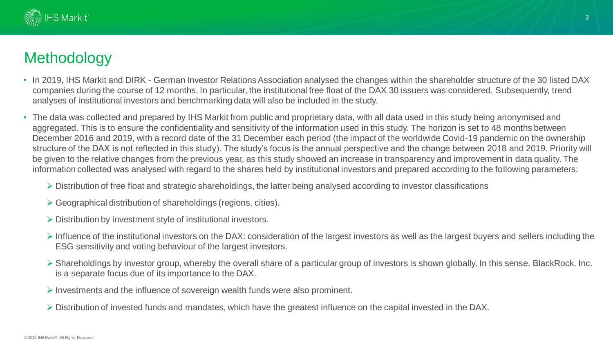

## **Methodology**

- In 2019, IHS Markit and DIRK German Investor Relations Association analysed the changes within the shareholder structure of the 30 listed DAX companies during the course of 12 months. In particular, the institutional free float of the DAX 30 issuers was considered. Subsequently, trend analyses of institutional investors and benchmarking data will also be included in the study.
- The data was collected and prepared by IHS Markit from public and proprietary data, with all data used in this study being anonymised and aggregated. This is to ensure the confidentiality and sensitivity of the information used in this study. The horizon is set to 48 months between December 2016 and 2019, with a record date of the 31 December each period (the impact of the worldwide Covid-19 pandemic on the ownership structure of the DAX is not reflected in this study). The study's focus is the annual perspective and the change between 2018 and 2019. Priority will be given to the relative changes from the previous year, as this study showed an increase in transparency and improvement in data quality. The information collected was analysed with regard to the shares held by institutional investors and prepared according to the following parameters:
	- ➢ Distribution of free float and strategic shareholdings, the latter being analysed according to investor classifications
	- ➢ Geographical distribution of shareholdings (regions, cities).
	- ➢ Distribution by investment style of institutional investors.
	- ➢ Influence of the institutional investors on the DAX: consideration of the largest investors as well as the largest buyers and sellers including the ESG sensitivity and voting behaviour of the largest investors.
	- ➢ Shareholdings by investor group, whereby the overall share of a particular group of investors is shown globally. In this sense, BlackRock, Inc. is a separate focus due of its importance to the DAX.
	- ➢ Investments and the influence of sovereign wealth funds were also prominent.
	- ➢ Distribution of invested funds and mandates, which have the greatest influence on the capital invested in the DAX.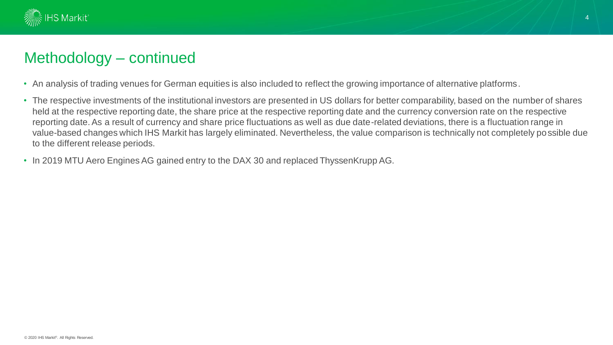

### Methodology – continued

- An analysis of trading venues for German equities is also included to reflect the growing importance of alternative platforms.
- The respective investments of the institutional investors are presented in US dollars for better comparability, based on the number of shares held at the respective reporting date, the share price at the respective reporting date and the currency conversion rate on the respective reporting date. As a result of currency and share price fluctuations as well as due date-related deviations, there is a fluctuation range in value-based changes which IHS Markit has largely eliminated. Nevertheless, the value comparison is technically not completely possible due to the different release periods.
- In 2019 MTU Aero Engines AG gained entry to the DAX 30 and replaced ThyssenKrupp AG.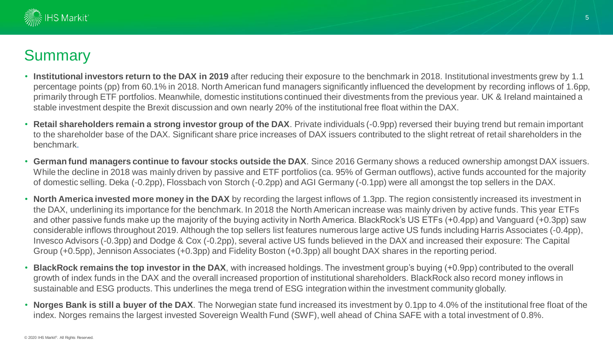

## **Summary**

- **Institutional investors return to the DAX in 2019** after reducing their exposure to the benchmark in 2018. Institutional investments grew by 1.1 percentage points (pp) from 60.1% in 2018. North American fund managers significantly influenced the development by recording inflows of 1.6pp, primarily through ETF portfolios. Meanwhile, domestic institutions continued their divestments from the previous year. UK & Ireland maintained a stable investment despite the Brexit discussion and own nearly 20% of the institutional free float within the DAX.
- **Retail shareholders remain a strong investor group of the DAX**. Private individuals (-0.9pp) reversed their buying trend but remain important to the shareholder base of the DAX. Significant share price increases of DAX issuers contributed to the slight retreat of retail shareholders in the benchmark.
- **German fund managers continue to favour stocks outside the DAX**. Since 2016 Germany shows a reduced ownership amongst DAX issuers. While the decline in 2018 was mainly driven by passive and ETF portfolios (ca. 95% of German outflows), active funds accounted for the majority of domestic selling. Deka (-0.2pp), Flossbach von Storch (-0.2pp) and AGI Germany (-0.1pp) were all amongst the top sellers in the DAX.
- **North America invested more money in the DAX** by recording the largest inflows of 1.3pp. The region consistently increased its investment in the DAX, underlining its importance for the benchmark. In 2018 the North American increase was mainly driven by active funds. This year ETFs and other passive funds make up the majority of the buying activity in North America. BlackRock's US ETFs (+0.4pp) and Vanguard (+0.3pp) saw considerable inflows throughout 2019. Although the top sellers list features numerous large active US funds including Harris Associates (-0.4pp), Invesco Advisors (-0.3pp) and Dodge & Cox (-0.2pp), several active US funds believed in the DAX and increased their exposure: The Capital Group (+0.5pp), Jennison Associates (+0.3pp) and Fidelity Boston (+0.3pp) all bought DAX shares in the reporting period.
- **BlackRock remains the top investor in the DAX**, with increased holdings. The investment group's buying (+0.9pp) contributed to the overall growth of index funds in the DAX and the overall increased proportion of institutional shareholders. BlackRock also record money inflows in sustainable and ESG products. This underlines the mega trend of ESG integration within the investment community globally.
- **Norges Bank is still a buyer of the DAX**. The Norwegian state fund increased its investment by 0.1pp to 4.0% of the institutional free float of the index. Norges remains the largest invested Sovereign Wealth Fund (SWF), well ahead of China SAFE with a total investment of 0.8%.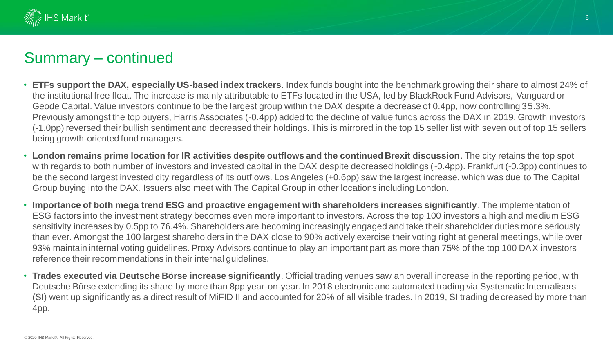

### Summary – continued

- **ETFs support the DAX, especially US-based index trackers**. Index funds bought into the benchmark growing their share to almost 24% of the institutional free float. The increase is mainly attributable to ETFs located in the USA, led by BlackRock Fund Advisors, Vanguard or Geode Capital. Value investors continue to be the largest group within the DAX despite a decrease of 0.4pp, now controlling 35.3%. Previously amongst the top buyers, Harris Associates (-0.4pp) added to the decline of value funds across the DAX in 2019. Growth investors (-1.0pp) reversed their bullish sentiment and decreased their holdings. This is mirrored in the top 15 seller list with seven out of top 15 sellers being growth-oriented fund managers.
- **London remains prime location for IR activities despite outflows and the continued Brexit discussion**. The city retains the top spot with regards to both number of investors and invested capital in the DAX despite decreased holdings (-0.4pp). Frankfurt (-0.3pp) continues to be the second largest invested city regardless of its outflows. Los Angeles (+0.6pp) saw the largest increase, which was due to The Capital Group buying into the DAX. Issuers also meet with The Capital Group in other locations including London.
- **Importance of both mega trend ESG and proactive engagement with shareholders increases significantly**. The implementation of ESG factors into the investment strategy becomes even more important to investors. Across the top 100 investors a high and medium ESG sensitivity increases by 0.5pp to 76.4%. Shareholders are becoming increasingly engaged and take their shareholder duties more seriously than ever. Amongst the 100 largest shareholders in the DAX close to 90% actively exercise their voting right at general meetings, while over 93% maintain internal voting guidelines. Proxy Advisors continue to play an important part as more than 75% of the top 100 DAX investors reference their recommendations in their internal guidelines.
- **Trades executed via Deutsche Börse increase significantly**. Official trading venues saw an overall increase in the reporting period, with Deutsche Börse extending its share by more than 8pp year-on-year. In 2018 electronic and automated trading via Systematic Internalisers (SI) went up significantly as a direct result of MiFID II and accounted for 20% of all visible trades. In 2019, SI trading decreased by more than 4pp.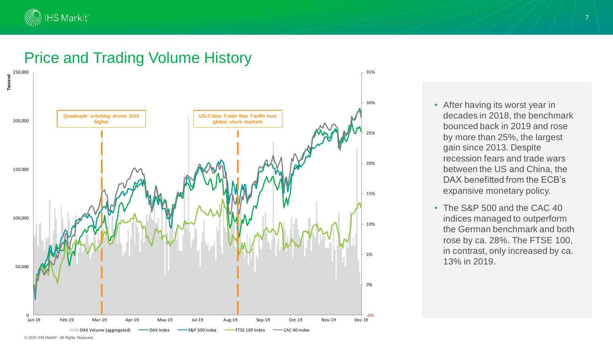

### Price and Trading Volume History



### • After having its worst year in decades in 2018, the benchmark bounced back in 2019 and rose by more than 25%, the largest gain since 2013. Despite recession fears and trade wars between the US and China, the DAX benefitted from the ECB's expansive monetary policy.

• The S&P 500 and the CAC 40 indices managed to outperform the German benchmark and both rose by ca. 28%. The FTSE 100, in contrast, only increased by ca. 13% in 2019.

<sup>© 2020</sup> IHS Markit®. All Rights Reserved.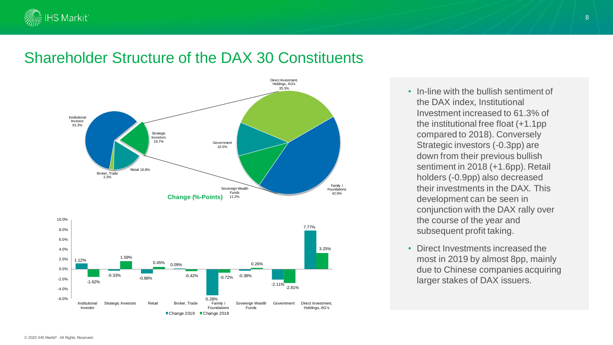

### Shareholder Structure of the DAX 30 Constituents



• In-line with the bullish sentiment of the DAX index, Institutional Investment increased to 61.3% of the institutional free float (+1.1pp compared to 2018). Conversely Strategic investors (-0.3pp) are down from their previous bullish sentiment in 2018 (+1.6pp). Retail holders (-0.9pp) also decreased their investments in the DAX. This development can be seen in conjunction with the DAX rally over the course of the year and subsequent profit taking.

• Direct Investments increased the most in 2019 by almost 8pp, mainly due to Chinese companies acquiring larger stakes of DAX issuers.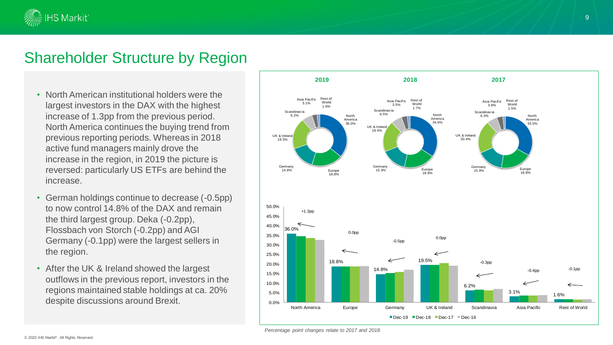

### Shareholder Structure by Region

- North American institutional holders were the largest investors in the DAX with the highest increase of 1.3pp from the previous period. North America continues the buying trend from previous reporting periods. Whereas in 2018 active fund managers mainly drove the increase in the region, in 2019 the picture is reversed: particularly US ETFs are behind the increase.
- German holdings continue to decrease (-0.5pp) to now control 14.8% of the DAX and remain the third largest group. Deka (-0.2pp), Flossbach von Storch (-0.2pp) and AGI Germany (-0.1pp) were the largest sellers in the region.
- After the UK & Ireland showed the largest outflows in the previous report, investors in the regions maintained stable holdings at ca. 20% despite discussions around Brexit.



*Percentage point changes relate to 2017 and 2018*

9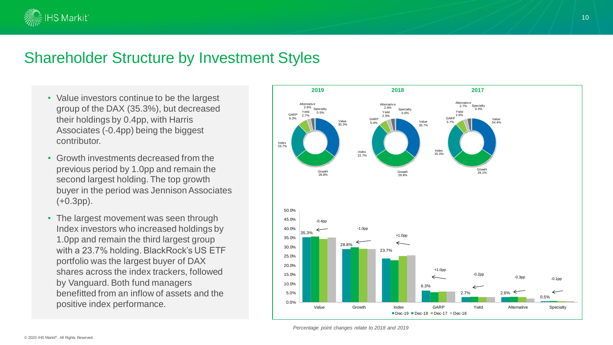

### Shareholder Structure by Investment Styles

- Value investors continue to be the largest group of the DAX (35.3%), but decreased their holdings by 0.4pp, with Harris Associates (-0.4pp) being the biggest contributor.
- Growth investments decreased from the previous period by 1.0pp and remain the second largest holding. The top growth buyer in the period was Jennison Associates (+0.3pp).
- The largest movement was seen through Index investors who increased holdings by 1.0pp and remain the third largest group with a 23.7% holding. BlackRock's US ETF portfolio was the largest buyer of DAX shares across the index trackers, followed by Vanguard. Both fund managers benefitted from an inflow of assets and the positive index performance.



*Percentage point changes relate to 2018 and 2019*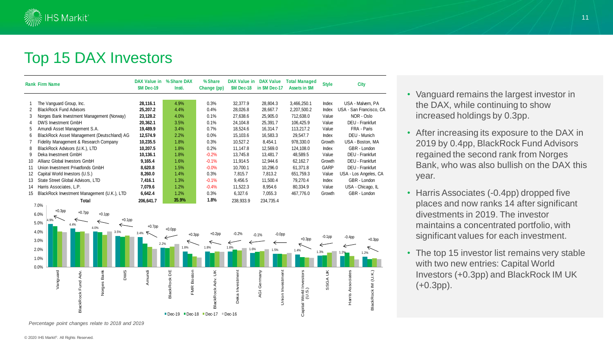

### Top 15 DAX Investors

|    | <b>Rank Firm Name</b>                       | <b>DAX Value in</b><br><b>\$M Dec-19</b> | % Share DAX<br>Insti. | % Share<br>Change (pp) | DAX Value in<br><b>SM Dec-18</b> | <b>DAX Value</b><br>in SM Dec-17 | <b>Total Managed</b><br><b>Assets in \$M</b> | <b>Style</b> | <b>City</b>             |
|----|---------------------------------------------|------------------------------------------|-----------------------|------------------------|----------------------------------|----------------------------------|----------------------------------------------|--------------|-------------------------|
|    | The Vanguard Group, Inc.                    | 28,116.1                                 | 4.9%                  | 0.3%                   | 32,377.9                         | 28,804.3                         | 3,466,250.1                                  | Index        | USA - Malvern, PA       |
| 2  | <b>BlackRock Fund Advisors</b>              | 25,207.2                                 | 4.4%                  | 0.4%                   | 28,026.8                         | 28,667.7                         | 2,207,500.2                                  | Index        | USA - San Francisco, CA |
| 3  | Norges Bank Investment Management (Norway)  | 23,128.2                                 | 4.0%                  | 0.1%                   | 27,638.6                         | 25,905.0                         | 712,638.0                                    | Value        | NOR - Oslo              |
| 4  | DWS Investment GmbH                         | 20,362.1                                 | 3.5%                  | 0.1%                   | 24,104.8                         | 25,391.7                         | 106,425.9                                    | Value        | DEU - Frankfurt         |
| 5  | Amundi Asset Management S.A.                | 19,489.9                                 | 3.4%                  | 0.7%                   | 18,524.6                         | 16,314.7                         | 113,217.2                                    | Value        | FRA - Paris             |
| 6  | BlackRock Asset Management (Deutschland) AG | 12,574.9                                 | 2.2%                  | $0.0\%$                | 15,103.6                         | 16,583.3                         | 29,547.7                                     | Index        | DEU - Munich            |
|    | Fidelity Management & Research Company      | 10,235.5                                 | 1.8%                  | 0.3%                   | 10,527.2                         | 8,454.1                          | 978,330.0                                    | Growth       | USA - Boston, MA        |
| 8  | BlackRock Advisors (U.K.), LTD              | 10,207.5                                 | 1.8%                  | 0.2%                   | 11.147.8                         | 12,569.0                         | 124.108.0                                    | Index        | GBR - London            |
| 9  | Deka Investment GmbH                        | 10,136.1                                 | 1.8%                  | $-0.2%$                | 13,745.8                         | 13,481.7                         | 48,589.5                                     | Value        | DEU - Frankfurt         |
| 10 | Allianz Global Investors GmbH               | 9,165.4                                  | 1.6%                  | $-0.1%$                | 11,914.5                         | 12,944.6                         | 62,162.7                                     | Growth       | DEU - Frankfurt         |
| 11 | Union Investment Privatfonds GmbH           | 8,620.8                                  | 1.5%                  | $-0.0%$                | 10,700.1                         | 10,296.0                         | 61,371.8                                     | GARP         | DEU - Frankfurt         |
| 12 | Capital World Investors (U.S.)              | 8,260.0                                  | 1.4%                  | 0.3%                   | 7,815.7                          | 7,813.2                          | 651,759.3                                    | Value        | USA - Los Angeles, CA   |
| 13 | State Street Global Advisors, LTD           | 7,416.1                                  | 1.3%                  | $-0.1%$                | 9,456.5                          | 11,500.4                         | 79,270.4                                     | Index        | GBR - London            |
| 14 | Harris Associates, L.P.                     | 7,079.6                                  | 1.2%                  | $-0.4%$                | 11,522.3                         | 8,954.6                          | 80,334.9                                     | Value        | USA - Chicago, IL       |
| 15 | BlackRock Investment Management (U.K.), LTD | 6,642.4                                  | 1.2%                  | 0.3%                   | 6,327.6                          | 7,055.3                          | 467,776.0                                    | Growth       | GBR - London            |
|    | Total                                       | 206,641.7                                | 35.9%                 | 1.8%                   | 238.933.9                        | 234,735.4                        |                                              |              |                         |



*Percentage point changes relate to 2018 and 2019*

© 2020 IHS Markit®. All Rights Reserved.

- Vanguard remains the largest investor in the DAX, while continuing to show increased holdings by 0.3pp.
- After increasing its exposure to the DAX in 2019 by 0.4pp, BlackRock Fund Advisors regained the second rank from Norges Bank, who was also bullish on the DAX this year.
- Harris Associates (-0.4pp) dropped five places and now ranks 14 after significant divestments in 2019. The investor maintains a concentrated portfolio, with significant values for each investment.
- The top 15 investor list remains very stable with two new entries: Capital World Investors (+0.3pp) and BlackRock IM UK (+0.3pp).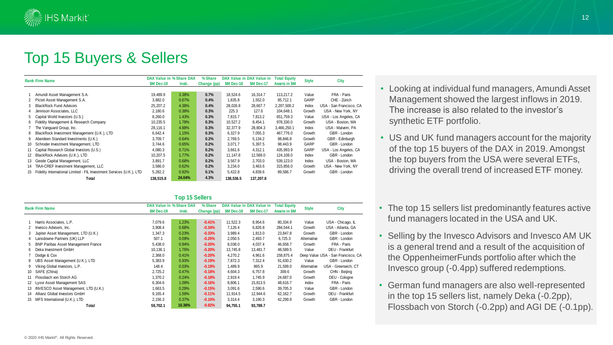

### Top 15 Buyers & Sellers

|    |                                                                      |                  | DAX Value in % Share DAX | % Share     |                  | DAX Value in DAX Value in | <b>Total Equity</b><br><b>Style</b> |        |                         |
|----|----------------------------------------------------------------------|------------------|--------------------------|-------------|------------------|---------------------------|-------------------------------------|--------|-------------------------|
|    | <b>Rank Firm Name</b>                                                | <b>SM Dec-19</b> | Insti.                   | Change (pp) | <b>SM Dec-18</b> | <b>SM Dec-17</b>          | <b>Assets in SM</b>                 |        | <b>City</b>             |
|    |                                                                      |                  |                          |             |                  |                           |                                     |        |                         |
|    | Amundi Asset Management S.A.                                         | 19.489.9         | 3.38%                    | 0.7%        | 18,524.6         | 16.314.7                  | 113,217.2                           | Value  | FRA - Paris             |
| 2  | Pictet Asset Management S.A.                                         | 3,882.0          | 0.67%                    | 0.4%        | 1,835.8          | 1,552.0                   | 85.712.1                            | GARP   | CHE - Zürich            |
| 3  | <b>BlackRock Fund Advisors</b>                                       | 25,207.2         | 4.38%                    | 0.4%        | 28.026.8         | 28,667.7                  | 2,207,500.2                         | Index  | USA - San Francisco. CA |
| 4  | Jennison Associates, LLC                                             | 2,180.6          | 0.38%                    | 0.3%        | 225.3            | 127.6                     | 104,648.1                           | Growth | USA - New York, NY      |
| 5  | Capital World Investors (U.S.)                                       | 8,260.0          | 1.43%                    | 0.3%        | 7.815.7          | 7.813.2                   | 651,759.3                           | Value  | USA - Los Angeles, CA   |
| 6  | Fidelity Management & Research Company                               | 10,235.5         | 1.78%                    | 0.3%        | 10,527.2         | 8,454.1                   | 978,330.0                           | Growth | USA - Boston, MA        |
|    | The Vanguard Group, Inc.                                             | 28,116.1         | 4.88%                    | 0.3%        | 32,377.9         | 28,804.3                  | 3,466,250.1                         | Index  | USA - Malvern, PA       |
| 8  | BlackRock Investment Management (U.K.), LTD                          | 6,642.4          | 1.15%                    | 0.3%        | 6,327.9          | 7,055.3                   | 467,776.0                           | Growth | GBR - London            |
| 9  | Aberdeen Standard Investments (U.K.)                                 | 3,709.7          | 0.64%                    | 0.2%        | 2,769.5          | 5,134.2                   | 98,846.8                            | Growth | GBR - Edinburgh         |
| 10 | Schroder Investment Management, LTD                                  | 3,744.6          | 0.65%                    | 0.2%        | 3,071.7          | 5,397.5                   | 98,443.9                            | GARP   | GBR - London            |
| 11 | Capital Research Global Investors (U.S.)                             | 4,080.3          | 0.71%                    | 0.2%        | 3,661.6          | 4.312.1                   | 435,993.9                           | GARP   | USA - Los Angeles, CA   |
| 12 | BlackRock Advisors (U.K.), LTD                                       | 10.207.5         | 1.77%                    | 0.2%        | 11.147.8         | 12.569.0                  | 124,108.0                           | Index  | GBR - London            |
| 13 | Geode Capital Management, LLC                                        | 3,891.7          | 0.68%                    | 0.2%        | 3,567.9          | 2.703.0                   | 539,123.0                           | Index  | USA - Boston, MA        |
| 14 | TIAA-CREF Investment Management, LLC                                 | 3,586.0          | 0.62%                    | 0.2%        | 3,234.0          | 3,463.6                   | 315,856.0                           | Growth | USA - New York, NY      |
|    | Fidelity International Limited - FIL Investment Services (U.K.), LTD | 5,282.2          | 0.92%                    | 0.1%        | 5,422.8          | 4,839.6                   | 89,586.7                            | Growth | GBR - London            |
|    | Total                                                                | 138,515.8        | 24.04%                   | 4.3%        | 138,536.5        | 137,207.8                 |                                     |        |                         |

#### **Top 15 Sellers**

|                   | .                                          |                  |                          |             |                  |                           |                     |              |                                    |  |
|-------------------|--------------------------------------------|------------------|--------------------------|-------------|------------------|---------------------------|---------------------|--------------|------------------------------------|--|
|                   | <b>Rank Firm Name</b>                      |                  | DAX Value in % Share DAX | % Share     |                  | DAX Value in DAX Value in | <b>Total Equity</b> | <b>Style</b> | <b>City</b>                        |  |
|                   |                                            | <b>SM Dec-19</b> | Insti.                   | Change (pp) | <b>SM Dec-18</b> | <b>SM Dec-17</b>          | <b>Assets in SM</b> |              |                                    |  |
|                   |                                            |                  |                          |             |                  |                           |                     |              |                                    |  |
|                   | Harris Associates, L.P.                    | 7,079.6          | 1.23%                    | $-0.41%$    | 11,522.3         | 8,954.6                   | 80,334.9            | Value        | USA - Chicago, IL                  |  |
|                   | Invesco Advisers, Inc.                     | 3,908.4          | 0.68%                    | $-0.34%$    | 7,126.4          | 6,826.8                   | 284,544.1           | Growth       | USA - Atlanta, GA                  |  |
| 3                 | Jupiter Asset Management, LTD (U.K.)       | 1,347.3          | 0.23%                    | $-0.33%$    | 3,989.4          | 1,813.0                   | 23,847.8            | Growth       | GBR - London                       |  |
| 4                 | Lansdowne Partners (UK) LLP                | 507.1            | 0.09%                    | $-0.20%$    | 2,050.5          | 2,493.7                   | 6,725.3             | Alternative  | GBR - London                       |  |
| 5                 | <b>BNP Paribas Asset Management France</b> | 5,438.0          | 0.94%                    | $-0.20%$    | 8,038.0          | 4,037.4                   | 46,658.7            | Growth       | FRA - Paris                        |  |
| 6                 | Deka Investment GmbH                       | 10,136.1         | 1.76%                    | $-0.20%$    | 13.745.8         | 13,481.7                  | 48,589.5            | Value        | DEU - Frankfurt                    |  |
|                   | Dodge & Cox                                | 2,368.0          | 0.41%                    | $-0.20%$    | 4,270.2          | 4,961.6                   | 158,875.4           |              | Deep Value USA - San Francisco, CA |  |
| 8                 | UBS Asset Management (U.K.), LTD           | 5,383.9          | 0.93%                    | $-0.19%$    | 7,872.3          | 7,312.4                   | 91,630.2            | Value        | GBR - London                       |  |
|                   | Viking Global Investors, L.P.              | 148.4            | 0.03%                    | $-0.19%$    | 1,489.9          | 865.9                     | 21,599.0            | Alternative  | USA - Greenwich, CT                |  |
| 10 <sup>1</sup>   | SAFE (China)                               | 2,725.2          | 0.47%                    | $-0.18%$    | 4,604.3          | 6,757.8                   | 309.6               | Growth       | CHN - Beijing                      |  |
| 11                | Flossbach von Storch AG                    | 1,370.2          | 0.24%                    | $-0.18%$    | 2,919.4          | 1.745.9                   | 24,687.0            | Growth       | DEU - Cologne                      |  |
| $12 \overline{ }$ | Lyxor Asset Management SAS                 | 6,304.6          | 1.09%                    | $-0.16%$    | 8,806.1          | 15,813.5                  | 48,616.7            | Index        | FRA - Paris                        |  |
| 13                | INVESCO Asset Management, LTD (U.K.)       | 1,663.5          | 0.29%                    | $-0.15%$    | 3,091.6          | 2,590.6                   | 39,705.3            | Value        | GBR - London                       |  |
| 14                | Allianz Global Investors GmbH              | 9,165.4          | 1.59%                    | $-0.11%$    | 11,914.5         | 12,944.6                  | 62,162.7            | Growth       | DEU - Frankfurt                    |  |
| 15                | MFS International (U.K.), LTD              | 2,156.3          | 0.37%                    | $-0.10%$    | 3,314.4          | 3,190.3                   | 42,299.9            | Growth       | GBR - London                       |  |
|                   | Total                                      | 59,702.1         | 10.36%                   | $-9.82%$    | 94.755.1         | 93,789.7                  |                     |              |                                    |  |

- Looking at individual fund managers, Amundi Asset Management showed the largest inflows in 2019. The increase is also related to the investor's synthetic ETF portfolio.
- US and UK fund managers account for the majority of the top 15 buyers of the DAX in 2019. Amongst the top buyers from the USA were several ETFs, driving the overall trend of increased ETF money.
- The top 15 sellers list predominantly features active fund managers located in the USA and UK.
- Selling by the Invesco Advisors and Invesco AM UK is a general trend and a result of the acquisition of the OppenheimerFunds portfolio after which the Invesco group (-0.4pp) suffered redemptions.
- German fund managers are also well-represented in the top 15 sellers list, namely Deka (-0.2pp), Flossbach von Storch (-0.2pp) and AGI DE (-0.1pp).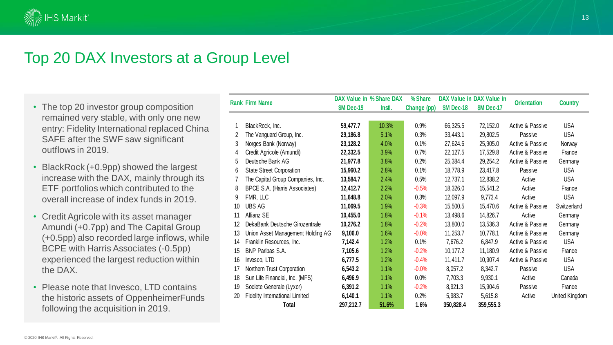

### Top 20 DAX Investors at a Group Level

- The top 20 investor group composition remained very stable, with only one new entry: Fidelity International replaced China SAFE after the SWF saw significant outflows in 2019.
- BlackRock (+0.9pp) showed the largest increase with the DAX, mainly through its ETF portfolios which contributed to the overall increase of index funds in 2019.
- Credit Agricole with its asset manager Amundi (+0.7pp) and The Capital Group (+0.5pp) also recorded large inflows, while BCPE with Harris Associates ( -0.5pp) experienced the largest reduction within the DAX.
- Please note that Invesco, LTD contains the historic assets of OppenheimerFunds following the acquisition in 2019.

|    |                                       |                   | DAX Value in % Share DAX | % Share     |                   | DAX Value in DAX Value in |                    |                |
|----|---------------------------------------|-------------------|--------------------------|-------------|-------------------|---------------------------|--------------------|----------------|
|    | <b>Rank Firm Name</b>                 | <b>\$M Dec-19</b> | Insti.                   | Change (pp) | <b>\$M Dec-18</b> | <b>\$M Dec-17</b>         | <b>Orientation</b> | <b>Country</b> |
|    |                                       |                   |                          |             |                   |                           |                    |                |
| 1  | BlackRock, Inc.                       | 59,477.7          | 10.3%                    | 0.9%        | 66,325.5          | 72,152.0                  | Active & Passive   | <b>USA</b>     |
| 2  | The Vanguard Group, Inc.              | 29,186.8          | 5.1%                     | 0.3%        | 33,443.1          | 29,802.5                  | Passive            | <b>USA</b>     |
| 3  | Norges Bank (Norway)                  | 23,128.2          | 4.0%                     | 0.1%        | 27,624.6          | 25,905.0                  | Active & Passive   | Norway         |
| 4  | Credit Agricole (Amundi)              | 22,332.5          | 3.9%                     | 0.7%        | 22,127.5          | 17,529.8                  | Active & Passive   | France         |
| 5  | Deutsche Bank AG                      | 21,977.8          | 3.8%                     | 0.2%        | 25,384.4          | 29,254.2                  | Active & Passive   | Germany        |
| 6  | <b>State Street Corporation</b>       | 15,960.2          | 2.8%                     | 0.1%        | 18,778.9          | 23,417.8                  | Passive            | <b>USA</b>     |
|    | The Capital Group Companies, Inc.     | 13,584.7          | 2.4%                     | 0.5%        | 12,737.1          | 12,838.2                  | Active             | <b>USA</b>     |
| 8  | BPCE S.A. (Harris Associates)         | 12,412.7          | 2.2%                     | $-0.5%$     | 18,326.0          | 15,541.2                  | Active             | France         |
| 9  | FMR, LLC                              | 11,648.8          | 2.0%                     | 0.3%        | 12,097.9          | 9,773.4                   | Active             | <b>USA</b>     |
| 10 | <b>UBS AG</b>                         | 11,069.5          | 1.9%                     | $-0.3%$     | 15,500.5          | 15,470.6                  | Active & Passive   | Switzerland    |
| 11 | Allianz SE                            | 10,455.0          | 1.8%                     | $-0.1%$     | 13,498.6          | 14,826.7                  | Active             | Germany        |
| 12 | DekaBank Deutsche Girozentrale        | 10,276.2          | 1.8%                     | $-0.2%$     | 13,800.0          | 13,536.3                  | Active & Passive   | Germany        |
| 13 | Union Asset Management Holding AG     | 9,106.0           | 1.6%                     | $-0.0%$     | 11,253.7          | 10,778.1                  | Active & Passive   | Germany        |
| 14 | Franklin Resources, Inc.              | 7,142.4           | 1.2%                     | 0.1%        | 7,676.2           | 6,847.9                   | Active & Passive   | <b>USA</b>     |
| 15 | BNP Paribas S.A.                      | 7,105.6           | 1.2%                     | $-0.2%$     | 10,177.2          | 11,180.9                  | Active & Passive   | France         |
| 16 | Invesco, LTD                          | 6,777.5           | 1.2%                     | $-0.4%$     | 11,411.7          | 10,907.4                  | Active & Passive   | <b>USA</b>     |
| 17 | Northern Trust Corporation            | 6,543.2           | 1.1%                     | $-0.0%$     | 8,057.2           | 8,342.7                   | Passive            | <b>USA</b>     |
| 18 | Sun Life Financial, Inc. (MFS)        | 6,496.9           | 1.1%                     | 0.0%        | 7,703.3           | 9,930.1                   | Active             | Canada         |
| 19 | Societe Generale (Lyxor)              | 6,391.2           | 1.1%                     | $-0.2%$     | 8,921.3           | 15,904.6                  | Passive            | France         |
| 20 | <b>Fidelity International Limited</b> | 6,140.1           | 1.1%                     | 0.2%        | 5,983.7           | 5,615.8                   | Active             | United Kingdom |
|    | Total                                 | 297,212.7         | 51.6%                    | 1.6%        | 350,828.4         | 359,555.3                 |                    |                |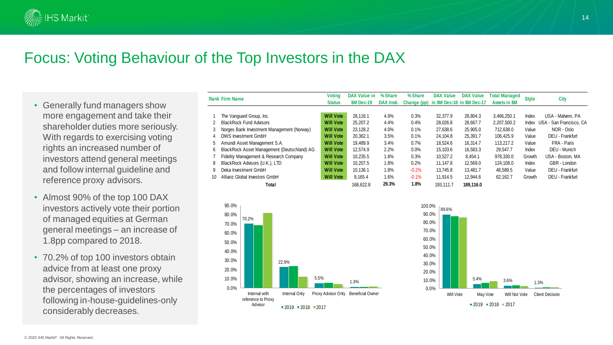

### Focus: Voting Behaviour of the Top Investors in the DAX

- Generally fund managers show more engagement and take their shareholder duties more seriously. With regards to exercising voting rights an increased number of investors attend general meetings and follow internal guideline and reference proxy advisors.
- Almost 90% of the top 100 DAX investors actively vote their portion of managed equities at German general meetings – an increase of 1.8pp compared to 2018.
- 70.2% of top 100 investors obtain advice from at least one proxy advisor, showing an increase, while the percentages of investors following in-house-guidelines-only considerably decreases.

|    | <b>Rank Firm Name</b>                             | <b>Voting</b><br><b>Status</b> | <b>DAX Value in</b><br><b>SM Dec-19</b> | % Share<br>DAX Insti. | % Share   | <b>DAX Value</b><br>Change (pp) in \$M Dec-18 in \$M Dec-17 | <b>DAX Value</b> | <b>Total Managed</b><br><b>Assets in \$M</b> | <b>Style</b> | <b>City</b>                   |
|----|---------------------------------------------------|--------------------------------|-----------------------------------------|-----------------------|-----------|-------------------------------------------------------------|------------------|----------------------------------------------|--------------|-------------------------------|
|    |                                                   |                                |                                         |                       |           |                                                             |                  |                                              |              |                               |
|    | The Vanguard Group, Inc.                          | <b>Will Vote</b>               | 28.116.1                                | 4.9%                  | 0.3%      | 32,377.9                                                    | 28.804.3         | 3.466.250.1                                  | Index        | USA - Malvern, PA             |
| 2  | <b>BlackRock Fund Advisors</b>                    | <b>Will Vote</b>               | 25.207.2                                | 4.4%                  | 0.4%      | 28.026.8                                                    | 28.667.7         | 2,207,500.2                                  |              | Index USA - San Francisco, CA |
| 3  | Norges Bank Investment Management (Norway)        | <b>Will Vote</b>               | 23.128.2                                | 4.0%                  | 0.1%      | 27.638.6                                                    | 25,905.0         | 712.638.0                                    | Value        | NOR - Oslo                    |
| 4  | DWS Investment GmbH                               | <b>Will Vote</b>               | 20.362.1                                | 3.5%                  | 0.1%      | 24.104.8                                                    | 25.391.7         | 106.425.9                                    | Value        | DEU - Frankfurt               |
| 5  | Amundi Asset Management S.A.                      | <b>Will Vote</b>               | 19.489.9                                | 3.4%                  | 0.7%      | 18.524.6                                                    | 16.314.7         | 113.217.2                                    | Value        | FRA - Paris                   |
| 6  | BlackRock Asset Management (Deutschland) AG       | <b>Will Vote</b>               | 12.574.9                                | 2.2%                  | 0.0%      | 15.103.6                                                    | 16.583.3         | 29.547.7                                     | Index        | DEU - Munich                  |
|    | Fidelity Management & Research Company            | <b>Will Vote</b>               | 10.235.5                                | 1.8%                  | 0.3%      | 10.527.2                                                    | 8.454.1          | 978.330.0                                    | Growth       | USA - Boston, MA              |
| 8  | BlackRock Advisors (U.K.), LTD                    | <b>Will Vote</b>               | 10.207.5                                | 1.8%                  | 0.2%      | 11.147.8                                                    | 12.569.0         | 124.108.0                                    | Index        | GBR - London                  |
| 9  | Deka Investment GmbH                              | <b>Will Vote</b>               | 10.136.1                                | 1.8%                  | $-0.2%$   | 13.745.8                                                    | 13.481.7         | 48.589.5                                     | Value        | DEU - Frankfurt               |
| 10 | Allianz Global Investors GmbH<br><b>Will Vote</b> |                                | 9.165.4                                 | 1.6%                  | $-0.1%$   | 11.914.5                                                    | 12.944.6         | 62.162.7                                     | Growth       | DEU - Frankfurt               |
|    | Total                                             | 168.622.8                      | 29.3%                                   | 1.8%                  | 193.111.7 | 189.116.0                                                   |                  |                                              |              |                               |



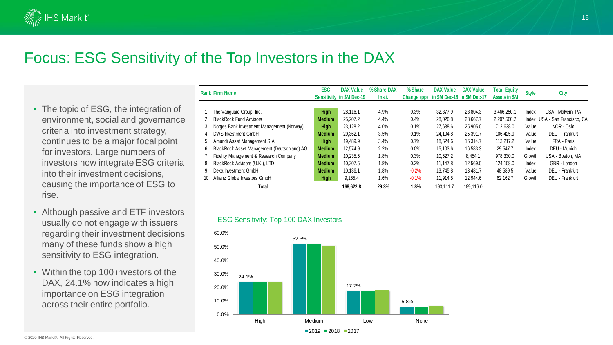

### Focus: ESG Sensitivity of the Top Investors in the DAX

- The topic of ESG, the integration of environment, social and governance criteria into investment strategy, continues to be a major focal point for investors. Large numbers of investors now integrate ESG criteria into their investment decisions, causing the importance of ESG to rise.
- Although passive and ETF investors usually do not engage with issuers regarding their investment decisions many of these funds show a high sensitivity to ESG integration.
- Within the top 100 investors of the DAX, 24.1% now indicates a high importance on ESG integration across their entire portfolio.

|    | <b>Rank Firm Name</b>                       | <b>ESG</b>    | <b>DAX Value</b><br><b>Sensitivity in \$M Dec-19</b> | % Share DAX<br>Insti. | % Share<br>Change (pp) | <b>DAX Value</b><br>in \$M Dec-18 in \$M Dec-17 | <b>DAX Value</b> | <b>Total Equity</b><br><b>Assets in \$M</b> | <b>Style</b> | <b>City</b>                   |
|----|---------------------------------------------|---------------|------------------------------------------------------|-----------------------|------------------------|-------------------------------------------------|------------------|---------------------------------------------|--------------|-------------------------------|
|    |                                             |               |                                                      |                       |                        |                                                 |                  |                                             |              |                               |
|    | The Vanguard Group, Inc.                    | <b>High</b>   | 28.116.1                                             | 4.9%                  | 0.3%                   | 32,377.9                                        | 28.804.3         | 3.466.250.1                                 | Index        | USA - Malvern, PA             |
|    | <b>BlackRock Fund Advisors</b>              | <b>Medium</b> | 25,207.2                                             | 4.4%                  | 0.4%                   | 28,026.8                                        | 28,667.7         | 2,207,500.2                                 |              | Index USA - San Francisco, CA |
| 3  | Norges Bank Investment Management (Norway)  | <b>High</b>   | 23.128.2                                             | 4.0%                  | 0.1%                   | 27.638.6                                        | 25,905.0         | 712.638.0                                   | Value        | NOR - Oslo                    |
|    | DWS Investment GmbH                         | <b>Medium</b> | 20.362.1                                             | 3.5%                  | 0.1%                   | 24.104.8                                        | 25.391.7         | 106.425.9                                   | Value        | DEU - Frankfurt               |
| 5. | Amundi Asset Management S.A.                | <b>High</b>   | 19.489.9                                             | 3.4%                  | 0.7%                   | 18.524.6                                        | 16.314.7         | 113.217.2                                   | Value        | FRA - Paris                   |
| 6  | BlackRock Asset Management (Deutschland) AG | <b>Medium</b> | 12.574.9                                             | 2.2%                  | 0.0%                   | 15.103.6                                        | 16.583.3         | 29.547.7                                    | Index        | DEU - Munich                  |
|    | Fidelity Management & Research Company      | <b>Medium</b> | 10.235.5                                             | 1.8%                  | 0.3%                   | 10.527.2                                        | 8.454.1          | 978.330.0                                   | Growth       | USA - Boston, MA              |
| 8  | BlackRock Advisors (U.K.), LTD              | <b>Medium</b> | 10.207.5                                             | 1.8%                  | 0.2%                   | 11.147.8                                        | 12.569.0         | 124.108.0                                   | Index        | GBR - London                  |
| 9  | Deka Investment GmbH                        | <b>Medium</b> | 10.136.1                                             | 1.8%                  | $-0.2%$                | 13.745.8                                        | 13.481.7         | 48.589.5                                    | Value        | DEU - Frankfurt               |
| 10 | Allianz Global Investors GmbH               |               | 9,165.4                                              | 1.6%                  | $-0.1%$                | 11,914.5                                        | 12.944.6         | 62.162.7                                    | Growth       | DEU - Frankfurt               |
|    | Total                                       |               | 168,622.8                                            | 29.3%                 | 1.8%                   | 193.111.7                                       | 189.116.0        |                                             |              |                               |





 $-2019 - 2018 - 2017$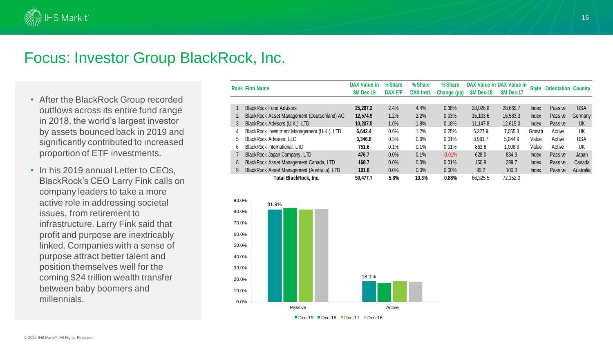

### Focus: Investor Group BlackRock, Inc.

- After the BlackRock Group recorded outflows across its entire fund range in 2018, the world's largest investor by assets bounced back in 2019 and significantly contributed to increased proportion of ETF investments.
- In his 2019 annual Letter to CEOs, BlackRock's CEO Larry Fink calls on company leaders to take a more active role in addressing societal issues, from retirement to infrastructure. Larry Fink said that profit and purpose are inextricably linked. Companies with a sense of purpose attract better talent and position themselves well for the coming \$24 trillion wealth transfer between baby boomers and millennials.

|   | <b>Rank Firm Name</b>                       | DAX Value in<br>SM Dec-19 | % Share<br>DAX F/F | % Share<br>DAX Insti. | % Share<br>Change (pp) | <b>SM Dec-18</b> | DAX Value in DAX Value in<br><b>SM Dec-17</b> | <b>Style</b> | <b>Orientation Country</b> |            |
|---|---------------------------------------------|---------------------------|--------------------|-----------------------|------------------------|------------------|-----------------------------------------------|--------------|----------------------------|------------|
|   | <b>BlackRock Fund Advisors</b>              | 25,207.2                  | 2.4%               | 4.4%                  | 0.38%                  | 28,026.8         | 28.669.7                                      | Index        | Passive                    | <b>USA</b> |
| 2 | BlackRock Asset Management (Deutschland) AG | 12.574.9                  | 1.2%               | 2.2%                  | 0.03%                  | 15,103.6         | 16.583.3                                      | <b>Index</b> | Passive                    | Germany    |
| 3 | BlackRock Advisors (U.K.), LTD              | 10.207.5                  | 1.0%               | 1.8%                  | 0.18%                  | 11.147.8         | 12,615.0                                      | <b>Index</b> | Passive                    | <b>UK</b>  |
| 4 | BlackRock Investment Management (U.K.), LTD | 6.642.4                   | 0.6%               | 1.2%                  | 0.25%                  | 6.327.9          | 7.055.3                                       | Growth       | Active                     | UK         |
| 5 | <b>BlackRock Advisors, LLC</b>              | 3.346.8                   | 0.3%               | 0.6%                  | 0.01%                  | 3.981.7          | 5.044.9                                       | Value        | Active                     | <b>USA</b> |
| 6 | <b>BlackRock International, LTD</b>         | 751.6                     | 0.1%               | 0.1%                  | 0.01%                  | 863.6            | 1.008.9                                       | Value        | Active                     | UK         |
|   | BlackRock Japan Company, LTD                | 476.7                     | 0.0%               | 0.1%                  | $-0.01%$               | 628.0            | 834.9                                         | Index        | Passive                    | Japan      |
| 8 | BlackRock Asset Management Canada, LTD      | 168.7                     | 0.0%               | 0.0%                  | 0.01%                  | 150.9            | 239.7                                         | <b>Index</b> | Passive                    | Canada     |
| 9 | BlackRock Asset Management (Australia), LTD | 101.8                     | 0.0%               | 0.0%                  | $0.00\%$               | 95.2             | 100.3                                         | Index        | Passive                    | Australia  |
|   | <b>Total BlackRock, Inc.</b>                | 59.477.7                  | 5.8%               | 10.3%                 | 0.88%                  | 66.325.5         | 72.152.0                                      |              |                            |            |



 $\blacksquare$  Dec-19  $\blacksquare$  Dec-18  $\blacksquare$  Dec-17  $\blacksquare$  Dec-16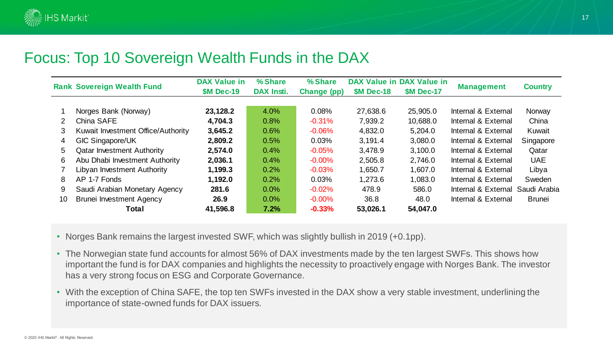### Focus: Top 10 Sovereign Wealth Funds in the DAX

|                | <b>Rank Sovereign Wealth Fund</b>  | <b>DAX Value in</b><br><b>\$M Dec-19</b> | % Share<br>DAX Insti. | % Share<br>Change (pp) | <b>\$M Dec-18</b> | DAX Value in DAX Value in<br><b>\$M Dec-17</b> | <b>Management</b>   | <b>Country</b> |
|----------------|------------------------------------|------------------------------------------|-----------------------|------------------------|-------------------|------------------------------------------------|---------------------|----------------|
|                |                                    |                                          |                       |                        |                   |                                                |                     |                |
|                | Norges Bank (Norway)               | 23,128.2                                 | 4.0%                  | 0.08%                  | 27,638.6          | 25,905.0                                       | Internal & External | Norway         |
| $\overline{2}$ | China SAFE                         | 4,704.3                                  | 0.8%                  | $-0.31%$               | 7,939.2           | 10,688.0                                       | Internal & External | China          |
| 3              | Kuwait Investment Office/Authority | 3,645.2                                  | 0.6%                  | $-0.06\%$              | 4,832.0           | 5,204.0                                        | Internal & External | Kuwait         |
| 4              | GIC Singapore/UK                   | 2,809.2                                  | 0.5%                  | 0.03%                  | 3,191.4           | 3,080.0                                        | Internal & External | Singapore      |
| 5              | <b>Qatar Investment Authority</b>  | 2,574.0                                  | 0.4%                  | $-0.05%$               | 3,478.9           | 3,100.0                                        | Internal & External | Qatar          |
| 6              | Abu Dhabi Investment Authority     | 2,036.1                                  | 0.4%                  | $-0.00\%$              | 2,505.8           | 2,746.0                                        | Internal & External | <b>UAE</b>     |
|                | Libyan Investment Authority        | 1,199.3                                  | 0.2%                  | $-0.03%$               | 1,650.7           | 1,607.0                                        | Internal & External | Libya          |
| 8              | AP 1-7 Fonds                       | 1,192.0                                  | 0.2%                  | 0.03%                  | 1,273.6           | 1,083.0                                        | Internal & External | Sweden         |
| 9              | Saudi Arabian Monetary Agency      | 281.6                                    | 0.0%                  | $-0.02%$               | 478.9             | 586.0                                          | Internal & External | Saudi Arabia   |
| 10             | <b>Brunei Investment Agency</b>    | 26.9                                     | $0.0\%$               | $-0.00\%$              | 36.8              | 48.0                                           | Internal & External | <b>Brunei</b>  |
|                | Total                              | 41,596.8                                 | 7.2%                  | $-0.33%$               | 53,026.1          | 54,047.0                                       |                     |                |

• Norges Bank remains the largest invested SWF, which was slightly bullish in 2019 (+0.1pp).

- The Norwegian state fund accounts for almost 56% of DAX investments made by the ten largest SWFs. This shows how important the fund is for DAX companies and highlights the necessity to proactively engage with Norges Bank. The investor has a very strong focus on ESG and Corporate Governance.
- With the exception of China SAFE, the top ten SWFs invested in the DAX show a very stable investment, underlining the importance of state-owned funds for DAX issuers.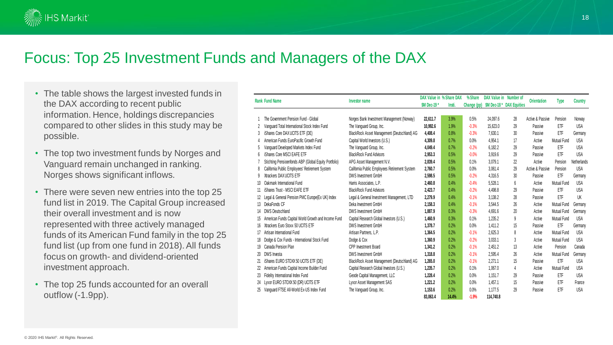

### Focus: Top 25 Investment Funds and Managers of the DAX

- The table shows the largest invested funds in the DAX according to recent public information. Hence, holdings discrepancies compared to other slides in this study may be possible.
- The top two investment funds by Norges and Vanguard remain unchanged in ranking. Norges shows significant inflows.
- There were seven new entries into the top 25 fund list in 2019. The Capital Group increased their overall investment and is now represented with three actively managed funds of its American Fund family in the top 25 fund list (up from one fund in 2018). All funds focus on growth- and dividend-oriented investment approach.
- The top 25 funds accounted for an overall outflow (-1.9pp).

|    | <b>Rank Fund Name</b>                                  | Investor name                                 | DAX Value in % Share DAX<br><b>SM Dec-19 *</b> | Insti. | % Share<br>Change (pp) | DAX Value in Number of | \$M Dec-18 * DAX Equities | <b>Orientation</b> | <b>Type</b> | <b>Country</b> |
|----|--------------------------------------------------------|-----------------------------------------------|------------------------------------------------|--------|------------------------|------------------------|---------------------------|--------------------|-------------|----------------|
|    | The Government Pension Fund - Global                   | Norges Bank Investment Management (Norway)    | 22,611.7                                       | 3.9%   | 0.5%                   | 24.097.6               | 28                        | Active & Passive   | Pension     | Norway         |
| 2  | Vanquard Total International Stock Index Fund          | The Vanguard Group, Inc.                      | 10.992.6                                       | 1.9%   | $-0.3%$                | 15.623.0               | 29                        | Passive            | ETF         | <b>USA</b>     |
| 3  | iShares Core DAX UCITS ETF (DE)                        | BlackRock Asset Management (Deutschland) AG   | 4,408.4                                        | 0.8%   | $-0.3%$                | 7,630.1                | 30                        | Passive            | ETF         | Germany        |
|    | American Funds EuroPacific Growth Fund                 | Capital World Investors (U.S.)                | 4,309.8                                        | 0.7%   | 0.0%                   | 4.954.1                | 17                        | Active             | Mutual Fund | <b>USA</b>     |
|    | Vanguard Developed Markets Index Fund                  | The Vanguard Group, Inc.                      | 4,049.4                                        | 0.7%   | $-0.2%$                | 6.182.2                | 29                        | Passive            | ETF         | <b>USA</b>     |
| 6  | iShares Core MSCI EAFE ETF                             | <b>BlackRock Fund Advisors</b>                | 2,953.3                                        | 0.5%   | $-0.0%$                | 3,919.6                | 29                        | Passive            | ETF         | <b>USA</b>     |
|    | Stichting Pensioenfonds ABP (Global Equity Portfolio)  | APG Asset Management N.V.                     | 2,839.4                                        | 0.5%   | 0.1%                   | 3.079.1                | 22                        | Active             | Pension     | Netherlands    |
| 8  | California Public Employees' Retirement System         | California Public Employees Retirement System | 2,760.7                                        | 0.5%   | 0.0%                   | 3,061.4                | 29                        | Active & Passive   | Pension     | <b>USA</b>     |
|    | Xtrackers DAX UCITS ETF                                | DWS Investment GmbH                           | 2,598.5                                        | 0.5%   | $-0.2%$                | 4.316.5                | 30                        | Passive            | ETF         | Germany        |
|    | 10 Oakmark International Fund                          | Harris Associates, L.P.                       | 2,460.8                                        | 0.4%   | $-0.4%$                | 5,528.1                | 6                         | Active             | Mutual Fund | <b>USA</b>     |
|    | 11 iShares Trust - MSCI EAFE ETF                       | <b>BlackRock Fund Advisors</b>                | 2,423.7                                        | 0.4%   | $-0.2%$                | 4,498.8                | 29                        | Passive            | ETF         | <b>USA</b>     |
|    | 12 Legal & General Pension PMC Europe(Ex UK) Index     | Legal & General Investment Management, LTD    | 2,279.9                                        | 0.4%   | $-0.1%$                | 3,138.2                | 28                        | Passive            | ETF         | UK             |
|    | 13 DekaFonds CF                                        | Deka Investment GmbH                          | 2,158.3                                        | 0.4%   | $-0.1%$                | 3.544.5                | 26                        | Active             | Mutual Fund | Germany        |
|    | 14 DWS Deutschland                                     | DWS Investment GmbH                           | 1.887.9                                        | 0.3%   | $-0.3%$                | 4.691.6                | 20                        | Active             | Mutual Fund | Germany        |
|    | 15 American Funds Capital World Growth and Income Fund | Capital Research Global Investors (U.S.)      | 1,460.9                                        | 0.3%   | 0.1%                   | 1.235.2                | 9                         | Active             | Mutual Fund | <b>USA</b>     |
|    | 16 Xtrackers Euro Stoxx 50 UCITS ETF                   | DWS Investment GmbH                           | 1.378.7                                        | 0.2%   | 0.0%                   | 1.411.2                | 15                        | Passive            | ETF         | Germany        |
|    | 17 Artisan International Fund                          | Artisan Partners, L.P.                        | 1,364.5                                        | 0.2%   | $-0.1%$                | 2,625.3                | 8                         | Active             | Mutual Fund | <b>USA</b>     |
|    | 18 Dodge & Cox Funds - International Stock Fund        | Dodge & Cox                                   | 1,360.9                                        | 0.2%   | $-0.2%$                | 3,033.1                | 3                         | Active             | Mutual Fund | <b>USA</b>     |
|    | 19 Canada Pension Plan                                 | CPP Investment Board                          | 1,341.2                                        | 0.2%   | $-0.1%$                | 2,451.2                | 13                        | Active             | Pension     | Canada         |
| 20 | DWS Investa                                            | DWS Investment GmbH                           | 1,318.8                                        | 0.2%   | $-0.1%$                | 2,595.4                | 26                        | Active             | Mutual Fund | Germany        |
|    | 21 iShares EURO STOXX 50 UCITS ETF (DE)                | BlackRock Asset Management (Deutschland) AG   | 1,265.0                                        | 0.2%   | $-0.1%$                | 2.271.1                | 15                        | Passive            | ETF         | USA            |
| 22 | American Funds Capital Income Builder Fund             | Capital Research Global Investors (U.S.)      | 1,235.7                                        | 0.2%   | 0.1%                   | 1.067.0                | 4                         | Active             | Mutual Fund | <b>USA</b>     |
| 23 | Fidelity International Index Fund                      | Geode Capital Management, LLC                 | 1,228.4                                        | 0.2%   | 0.0%                   | 1.151.7                | 29                        | Passive            | ETF         | <b>USA</b>     |
|    | 24 Lyxor EURO STOXX 50 (DR) UCITS ETF                  | Lyxor Asset Management SAS                    | 1,221.2                                        | 0.2%   | 0.0%                   | 1.457.1                | 15                        | Passive            | ETF         | France         |
| 25 | Vanquard FTSE All-World Ex-US Index Fund               | The Vanguard Group, Inc.                      | 1,153.6                                        | 0.2%   | 0.0%                   | 1.177.5                | 29                        | Passive            | ETF         | <b>USA</b>     |
|    |                                                        |                                               | 83.063.4                                       | 14.4%  | $-1.9%$                | 114.740.8              |                           |                    |             |                |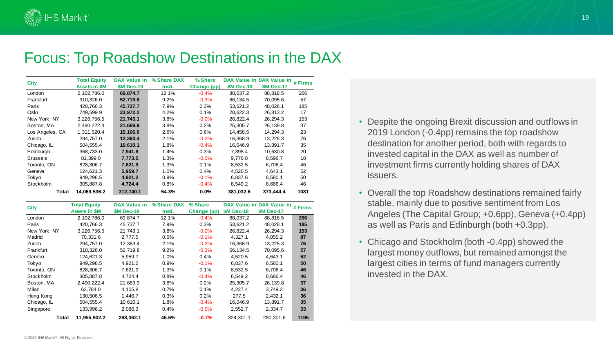

### Focus: Top Roadshow Destinations in the DAX

| <b>City</b>     | <b>Total Equity</b> | DAX Value in     | % Share DAX | % Share     |                  | DAX Value in DAX Value in | # Firms |
|-----------------|---------------------|------------------|-------------|-------------|------------------|---------------------------|---------|
|                 | Assets in \$M       | <b>SM Dec-19</b> | Insti.      | Change (pp) | <b>SM Dec-18</b> | <b>SM Dec-17</b>          |         |
| London          | 2.102.786.0         | 69.874.7         | 12.1%       | $-0.4%$     | 88.037.2         | 88.818.5                  | 266     |
| Frankfurt       | 310,326.0           | 52,719.8         | 9.2%        | $-0.3%$     | 66,134.5         | 70,095.6                  | 57      |
| Paris           | 420.766.3           | 45.737.7         | 7.9%        | 0.3%        | 53.621.2         | 48.028.1                  | 185     |
| Oslo            | 749.599.9           | 23.972.2         | 4.2%        | 0.1%        | 28.622.3         | 26.813.2                  | 17      |
| New York, NY    | 3,226,756.5         | 21.743.1         | 3.8%        | $-0.0%$     | 26.822.4         | 26,294.3                  | 153     |
| Boston, MA      | 2,490,222.4         | 21,669.9         | 3.8%        | 0.2%        | 25,305.7         | 26,139.8                  | 37      |
| Los Angeles, CA | 1,311,520.4         | 15,106.6         | 2.6%        | 0.6%        | 14.458.5         | 14.294.3                  | 23      |
| Zürich          | 294,757.0           | 12,363.4         | 2.1%        | $-0.2%$     | 16,368.9         | 13,225.3                  | 76      |
| Chicago, IL     | 504,555.4           | 10,610.1         | 1.8%        | $-0.4%$     | 16.046.9         | 13,891.7                  | 35      |
| Edinburgh       | 368,733.0           | 7,941.8          | 1.4%        | 0.3%        | 7,398.4          | 10,630.8                  | 20      |
| <b>Brussels</b> | 81,399.0            | 7.773.5          | 1.3%        | $-0.0%$     | 9.776.8          | 8,596.7                   | 18      |
| Toronto, ON     | 828,306.7           | 7,621.9          | 1.3%        | 0.1%        | 8,532.5          | 6,706.4                   | 46      |
| Geneva          | 124,621.3           | 5,959.7          | 1.0%        | 0.4%        | 4,520.5          | 4,643.1                   | 52      |
| Tokyo           | 949,298.5           | 4,921.2          | 0.9%        | $-0.1%$     | 6,837.6          | 6,580.1                   | 50      |
| Stockholm       | 305,887.8           | 4,724.4          | 0.8%        | $-0.4%$     | 8,549.2          | 8,686.4                   | 46      |
| Total           | 14,069,536.2        | 312.740.1        | 54.3%       | 0.0%        | 381,032.6        | 373.444.4                 | 1081    |

| <b>City</b>  | <b>Total Equity</b>  | DAX Value in     | % Share DAX | % Share     |                   | DAX Value in DAX Value in # Firms |      |
|--------------|----------------------|------------------|-------------|-------------|-------------------|-----------------------------------|------|
|              | <b>Assets in \$M</b> | <b>SM Dec-19</b> | Insti.      | Change (pp) | <b>\$M Dec-18</b> | <b>SM Dec-17</b>                  |      |
| London       | 2,102,786.0          | 69.874.7         | 12.1%       | $-0.4%$     | 88.037.2          | 88.818.5                          | 266  |
| Paris        | 420.766.3            | 45.737.7         | 7.9%        | 0.3%        | 53.621.2          | 48.028.1                          | 185  |
| New York, NY | 3,226,756.5          | 21,743.1         | 3.8%        | $-0.0%$     | 26,822.4          | 26,294.3                          | 153  |
| Madrid       | 70.331.6             | 2.777.5          | 0.5%        | $-0.1%$     | 4,327.1           | 4,055.2                           | 87   |
| Zürich       | 294.757.0            | 12.363.4         | 2.1%        | $-0.2%$     | 16.368.9          | 13.225.3                          | 76   |
| Frankfurt    | 310.326.0            | 52.719.8         | 9.2%        | $-0.3%$     | 66.134.5          | 70.095.6                          | 57   |
| Geneva       | 124.621.3            | 5.959.7          | 1.0%        | 0.4%        | 4,520.5           | 4,643.1                           | 52   |
| Tokyo        | 949.298.5            | 4.921.2          | 0.9%        | $-0.1%$     | 6.837.6           | 6.580.1                           | 50   |
| Toronto, ON  | 828,306.7            | 7.621.9          | 1.3%        | 0.1%        | 8.532.5           | 6.706.4                           | 46   |
| Stockholm    | 305,887.8            | 4,724.4          | 0.8%        | $-0.4%$     | 8.549.2           | 8,686.4                           | 46   |
| Boston, MA   | 2,490,222.4          | 21,669.9         | 3.8%        | 0.2%        | 25,305.7          | 26,139.8                          | 37   |
| Milan        | 62.784.0             | 4,105.8          | 0.7%        | 0.1%        | 4,227.4           | 3,749.2                           | 36   |
| Hong Kong    | 130,506.5            | 1.446.7          | 0.3%        | 0.2%        | 277.5             | 2,432.1                           | 36   |
| Chicago, IL  | 504,555.4            | 10,610.1         | 1.8%        | $-0.4%$     | 16,046.9          | 13,891.7                          | 35   |
| Singapore    | 133.996.2            | 2.086.3          | 0.4%        | $-0.0%$     | 2,552.7           | 2,334.7                           | 33   |
| Total        | 11.955.902.2         | 268.362.1        | 46.6%       | $-0.7%$     | 324.301.1         | 280.301.6                         | 1195 |

- Despite the ongoing Brexit discussion and outflows in 2019 London (-0.4pp) remains the top roadshow destination for another period, both with regards to invested capital in the DAX as well as number of investment firms currently holding shares of DAX issuers.
- Overall the top Roadshow destinations remained fairly stable, mainly due to positive sentiment from Los Angeles (The Capital Group; +0.6pp), Geneva (+0.4pp) as well as Paris and Edinburgh (both +0.3pp).
- Chicago and Stockholm (both -0.4pp) showed the largest money outflows, but remained amongst the largest cities in terms of fund managers currently invested in the DAX.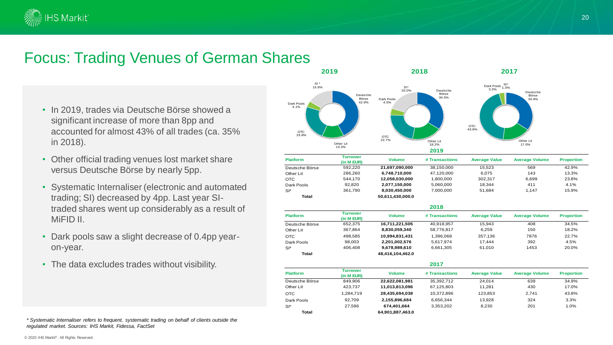

### Focus: Trading Venues of German Shares

- In 2019, trades via Deutsche Börse showed a significant increase of more than 8pp and accounted for almost 43% of all trades (ca. 35% in 2018).
- Other official trading venues lost market share versus Deutsche Börse by nearly 5pp.
- trading; SI) decreased by 4pp. Last year SI-• Systematic Internaliser (electronic and automated traded shares went up considerably as a result of MiFID II.
- Dark pools saw a slight decrease of 0.4pp yearon-year.
- The data excludes trades without visibility.



| 2017            |                               |                  |                |                      |                       |                   |
|-----------------|-------------------------------|------------------|----------------|----------------------|-----------------------|-------------------|
| <b>Platform</b> | <b>Turnover</b><br>(in M EUR) | <b>Volume</b>    | # Transactions | <b>Average Value</b> | <b>Average Volume</b> | <b>Proportion</b> |
| Deutsche Börse  | 849.906                       | 22.622.081.981   | 35.392.712     | 24.014               | 639                   | 34.9%             |
| Other Lit       | 423.737                       | 11,013,813,096   | 67,125,803     | 11.281               | 430                   | 17.0%             |
| <b>OTC</b>      | 1.284.719                     | 28,435,694,038   | 10.372.896     | 123.853              | 2.741                 | 43.8%             |
| Dark Pools      | 92.709                        | 2,155,896,684    | 6.656.344      | 13.928               | 324                   | 3.3%              |
| $SI^*$          | 27.596                        | 674.401.664      | 3,353,202      | 8.230                | 201                   | 1.0%              |
| Total           |                               | 64,901,887,463.0 |                |                      |                       |                   |

*\* Systematic Internaliser refers to frequent, systematic trading on behalf of clients outside the regulated market. Sources: IHS Markit, Fidessa, FactSet*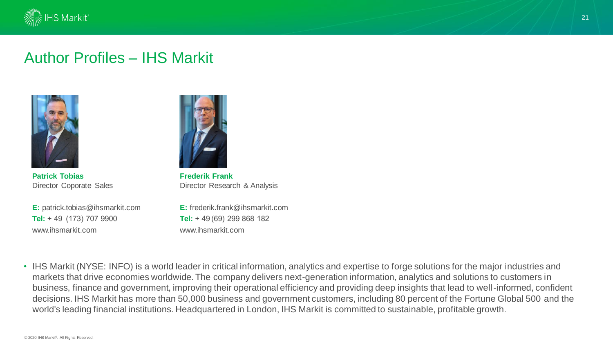

### Author Profiles – IHS Markit



**Patrick Tobias** Director Coporate Sales

**E:** patrick.tobias@ihsmarkit.com **Tel:** + 49  (173) 707 9900 www.ihsmarkit.com



**Frederik Frank** Director Research & Analysis

**E:** frederik.frank@ihsmarkit.com **Tel:** + 49 (69) 299 868 182 www.ihsmarkit.com

• IHS Markit (NYSE: INFO) is a world leader in critical information, analytics and expertise to forge solutions for the major industries and markets that drive economies worldwide. The company delivers next-generation information, analytics and solutions to customers in business, finance and government, improving their operational efficiency and providing deep insights that lead to well-informed, confident decisions. IHS Markit has more than 50,000 business and government customers, including 80 percent of the Fortune Global 500 and the world's leading financial institutions. Headquartered in London, IHS Markit is committed to sustainable, profitable growth.